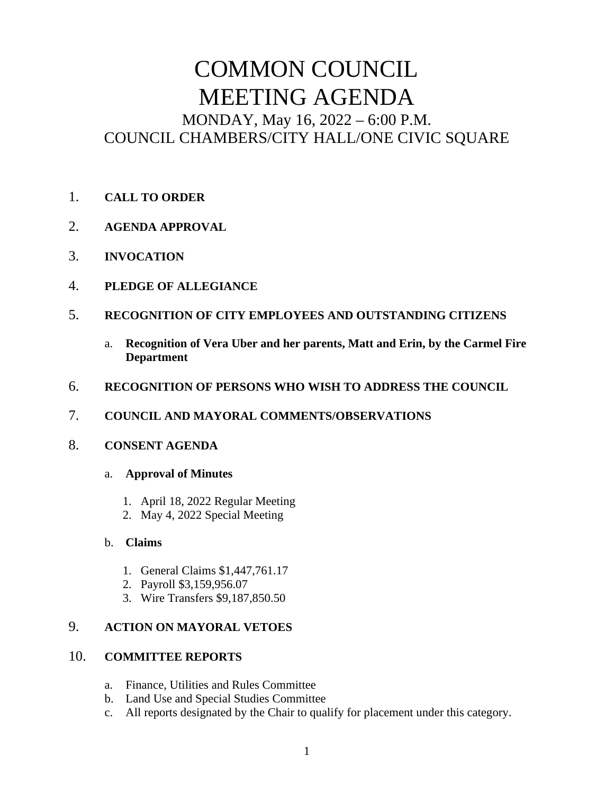# COMMON COUNCIL MEETING AGENDA MONDAY, May 16, 2022 – 6:00 P.M. COUNCIL CHAMBERS/CITY HALL/ONE CIVIC SQUARE

- 1. **CALL TO ORDER**
- 2. **AGENDA APPROVAL**
- 3. **INVOCATION**
- 4. **PLEDGE OF ALLEGIANCE**
- 5. **RECOGNITION OF CITY EMPLOYEES AND OUTSTANDING CITIZENS**
	- a. **Recognition of Vera Uber and her parents, Matt and Erin, by the Carmel Fire Department**
- 6. **RECOGNITION OF PERSONS WHO WISH TO ADDRESS THE COUNCIL**
- 7. **COUNCIL AND MAYORAL COMMENTS/OBSERVATIONS**

## 8. **CONSENT AGENDA**

- a. **Approval of Minutes** 
	- 1. April 18, 2022 Regular Meeting
	- 2. May 4, 2022 Special Meeting

### b. **Claims**

- 1. General Claims \$1,447,761.17
- 2. Payroll \$3,159,956.07
- 3. Wire Transfers \$9,187,850.50

## 9. **ACTION ON MAYORAL VETOES**

### 10. **COMMITTEE REPORTS**

- a. Finance, Utilities and Rules Committee
- b. Land Use and Special Studies Committee
- c. All reports designated by the Chair to qualify for placement under this category.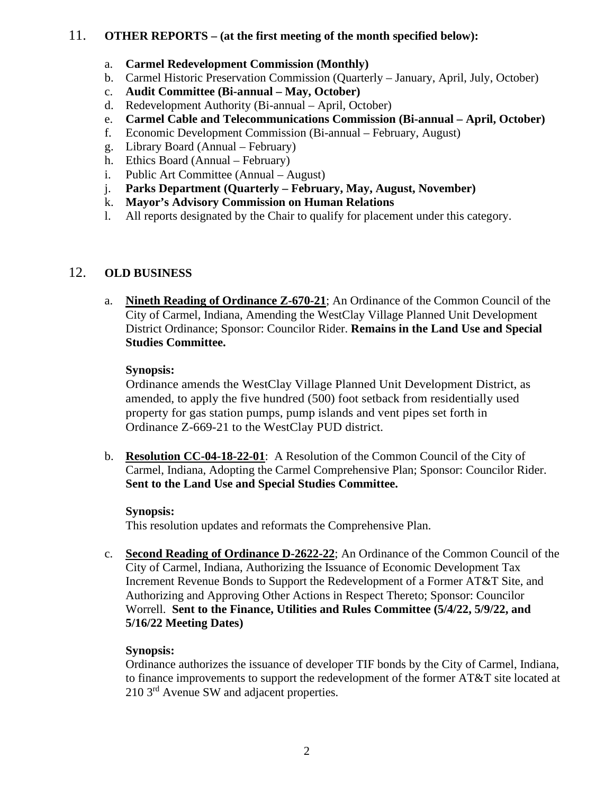### 11. **OTHER REPORTS – (at the first meeting of the month specified below):**

- a. **Carmel Redevelopment Commission (Monthly)**
- b. Carmel Historic Preservation Commission (Quarterly January, April, July, October)
- c. **Audit Committee (Bi-annual May, October)**
- d. Redevelopment Authority (Bi-annual April, October)
- e. **Carmel Cable and Telecommunications Commission (Bi-annual April, October)**
- f. Economic Development Commission (Bi-annual February, August)
- g. Library Board (Annual February)
- h. Ethics Board (Annual February)
- i. Public Art Committee (Annual August)
- j. **Parks Department (Quarterly February, May, August, November)**
- k. **Mayor's Advisory Commission on Human Relations**
- l. All reports designated by the Chair to qualify for placement under this category.

## 12. **OLD BUSINESS**

a. **Nineth Reading of Ordinance Z-670-21**; An Ordinance of the Common Council of the City of Carmel, Indiana, Amending the WestClay Village Planned Unit Development District Ordinance; Sponsor: Councilor Rider. **Remains in the Land Use and Special Studies Committee.** 

### **Synopsis:**

Ordinance amends the WestClay Village Planned Unit Development District, as amended, to apply the five hundred (500) foot setback from residentially used property for gas station pumps, pump islands and vent pipes set forth in Ordinance Z-669-21 to the WestClay PUD district.

b. **Resolution CC-04-18-22-01**: A Resolution of the Common Council of the City of Carmel, Indiana, Adopting the Carmel Comprehensive Plan; Sponsor: Councilor Rider. **Sent to the Land Use and Special Studies Committee.**

### **Synopsis:**

This resolution updates and reformats the Comprehensive Plan.

c. **Second Reading of Ordinance D-2622-22**; An Ordinance of the Common Council of the City of Carmel, Indiana, Authorizing the Issuance of Economic Development Tax Increment Revenue Bonds to Support the Redevelopment of a Former AT&T Site, and Authorizing and Approving Other Actions in Respect Thereto; Sponsor: Councilor Worrell. **Sent to the Finance, Utilities and Rules Committee (5/4/22, 5/9/22, and 5/16/22 Meeting Dates)** 

### **Synopsis:**

Ordinance authorizes the issuance of developer TIF bonds by the City of Carmel, Indiana, to finance improvements to support the redevelopment of the former AT&T site located at 210 3<sup>rd</sup> Avenue SW and adjacent properties.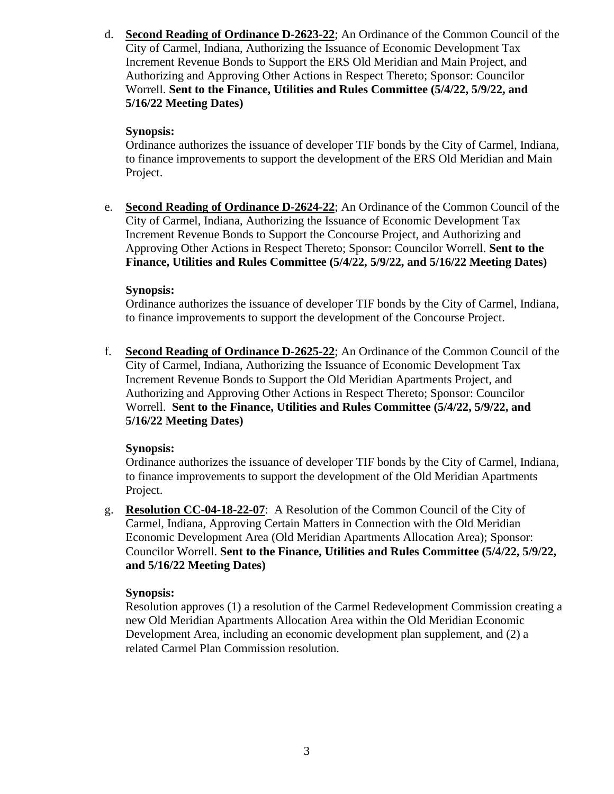d. **Second Reading of Ordinance D-2623-22**; An Ordinance of the Common Council of the City of Carmel, Indiana, Authorizing the Issuance of Economic Development Tax Increment Revenue Bonds to Support the ERS Old Meridian and Main Project, and Authorizing and Approving Other Actions in Respect Thereto; Sponsor: Councilor Worrell. **Sent to the Finance, Utilities and Rules Committee (5/4/22, 5/9/22, and 5/16/22 Meeting Dates)**

#### **Synopsis:**

Ordinance authorizes the issuance of developer TIF bonds by the City of Carmel, Indiana, to finance improvements to support the development of the ERS Old Meridian and Main Project.

e. **Second Reading of Ordinance D-2624-22**; An Ordinance of the Common Council of the City of Carmel, Indiana, Authorizing the Issuance of Economic Development Tax Increment Revenue Bonds to Support the Concourse Project, and Authorizing and Approving Other Actions in Respect Thereto; Sponsor: Councilor Worrell. **Sent to the Finance, Utilities and Rules Committee (5/4/22, 5/9/22, and 5/16/22 Meeting Dates)**

#### **Synopsis:**

Ordinance authorizes the issuance of developer TIF bonds by the City of Carmel, Indiana, to finance improvements to support the development of the Concourse Project.

f. **Second Reading of Ordinance D-2625-22**; An Ordinance of the Common Council of the City of Carmel, Indiana, Authorizing the Issuance of Economic Development Tax Increment Revenue Bonds to Support the Old Meridian Apartments Project, and Authorizing and Approving Other Actions in Respect Thereto; Sponsor: Councilor Worrell. **Sent to the Finance, Utilities and Rules Committee (5/4/22, 5/9/22, and 5/16/22 Meeting Dates)**

### **Synopsis:**

Ordinance authorizes the issuance of developer TIF bonds by the City of Carmel, Indiana, to finance improvements to support the development of the Old Meridian Apartments Project.

g. **Resolution CC-04-18-22-07**: A Resolution of the Common Council of the City of Carmel, Indiana, Approving Certain Matters in Connection with the Old Meridian Economic Development Area (Old Meridian Apartments Allocation Area); Sponsor: Councilor Worrell. **Sent to the Finance, Utilities and Rules Committee (5/4/22, 5/9/22, and 5/16/22 Meeting Dates)**

### **Synopsis:**

Resolution approves (1) a resolution of the Carmel Redevelopment Commission creating a new Old Meridian Apartments Allocation Area within the Old Meridian Economic Development Area, including an economic development plan supplement, and (2) a related Carmel Plan Commission resolution.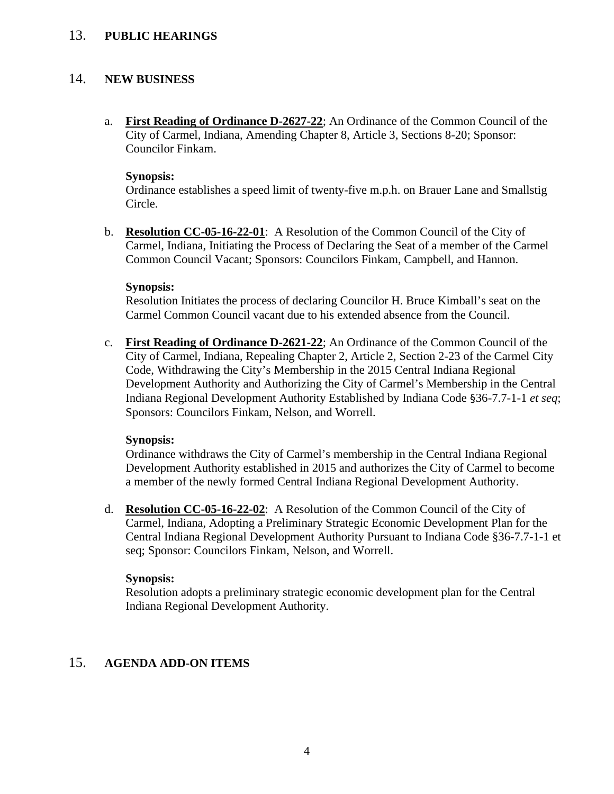#### 13. **PUBLIC HEARINGS**

#### 14. **NEW BUSINESS**

a. **First Reading of Ordinance D-2627-22**; An Ordinance of the Common Council of the City of Carmel, Indiana, Amending Chapter 8, Article 3, Sections 8-20; Sponsor: Councilor Finkam.

#### **Synopsis:**

Ordinance establishes a speed limit of twenty-five m.p.h. on Brauer Lane and Smallstig Circle.

b. **Resolution CC-05-16-22-01**: A Resolution of the Common Council of the City of Carmel, Indiana, Initiating the Process of Declaring the Seat of a member of the Carmel Common Council Vacant; Sponsors: Councilors Finkam, Campbell, and Hannon.

#### **Synopsis:**

Resolution Initiates the process of declaring Councilor H. Bruce Kimball's seat on the Carmel Common Council vacant due to his extended absence from the Council.

c. **First Reading of Ordinance D-2621-22**; An Ordinance of the Common Council of the City of Carmel, Indiana, Repealing Chapter 2, Article 2, Section 2-23 of the Carmel City Code, Withdrawing the City's Membership in the 2015 Central Indiana Regional Development Authority and Authorizing the City of Carmel's Membership in the Central Indiana Regional Development Authority Established by Indiana Code §36-7.7-1-1 *et seq*; Sponsors: Councilors Finkam, Nelson, and Worrell.

#### **Synopsis:**

Ordinance withdraws the City of Carmel's membership in the Central Indiana Regional Development Authority established in 2015 and authorizes the City of Carmel to become a member of the newly formed Central Indiana Regional Development Authority.

d. **Resolution CC-05-16-22-02**: A Resolution of the Common Council of the City of Carmel, Indiana, Adopting a Preliminary Strategic Economic Development Plan for the Central Indiana Regional Development Authority Pursuant to Indiana Code §36-7.7-1-1 et seq; Sponsor: Councilors Finkam, Nelson, and Worrell.

#### **Synopsis:**

Resolution adopts a preliminary strategic economic development plan for the Central Indiana Regional Development Authority.

#### 15. **AGENDA ADD-ON ITEMS**